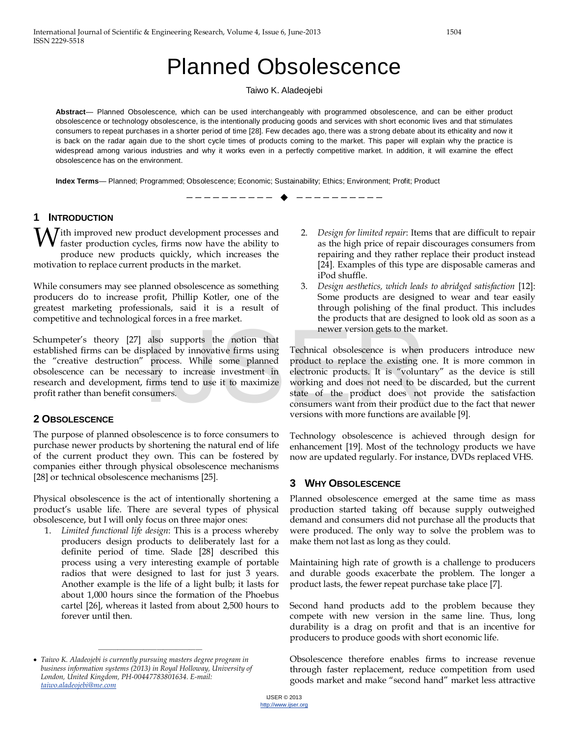# Planned Obsolescence

#### Taiwo K. Aladeojebi

**Abstract**— Planned Obsolescence, which can be used interchangeably with programmed obsolescence, and can be either product obsolescence or technology obsolescence, is the intentionally producing goods and services with short economic lives and that stimulates consumers to repeat purchases in a shorter period of time [28]. Few decades ago, there was a strong debate about its ethicality and now it is back on the radar again due to the short cycle times of products coming to the market. This paper will explain why the practice is widespread among various industries and why it works even in a perfectly competitive market. In addition, it will examine the effect obsolescence has on the environment.

—————————— ——————————

**Index Terms**— Planned; Programmed; Obsolescence; Economic; Sustainability; Ethics; Environment; Profit; Product

## **1 INTRODUCTION**

With improved new product development processes and faster production cycles, firms now have the ability to faster production cycles, firms now have the ability to produce new products quickly, which increases the motivation to replace current products in the market.

While consumers may see planned obsolescence as something producers do to increase profit, Phillip Kotler, one of the greatest marketing professionals, said it is a result of competitive and technological forces in a free market.

Schumpeter's theory [27] also supports the notion that established firms can be displaced by innovative firms using the "creative destruction" process. While some planned obsolescence can be necessary to increase investment in research and development, firms tend to use it to maximize profit rather than benefit consumers.

# **2 OBSOLESCENCE**

The purpose of planned obsolescence is to force consumers to purchase newer products by shortening the natural end of life of the current product they own. This can be fostered by companies either through physical obsolescence mechanisms [28] or technical obsolescence mechanisms [25].

Physical obsolescence is the act of intentionally shortening a product's usable life. There are several types of physical obsolescence, but I will only focus on three major ones:

1. *Limited functional life design*: This is a process whereby producers design products to deliberately last for a definite period of time. Slade [28] described this process using a very interesting example of portable radios that were designed to last for just 3 years. Another example is the life of a light bulb; it lasts for about 1,000 hours since the formation of the Phoebus cartel [26], whereas it lasted from about 2,500 hours to forever until then.

————————————————

- 2. *Design for limited repair*: Items that are difficult to repair as the high price of repair discourages consumers from repairing and they rather replace their product instead [24]. Examples of this type are disposable cameras and iPod shuffle.
- 3. *Design aesthetics, which leads to abridged satisfaction* [12]: Some products are designed to wear and tear easily through polishing of the final product. This includes the products that are designed to look old as soon as a newer version gets to the market.

Technical obsolescence is when producers introduce new product to replace the existing one. It is more common in electronic products. It is "voluntary" as the device is still working and does not need to be discarded, but the current state of the product does not provide the satisfaction consumers want from their product due to the fact that newer versions with more functions are available [9]. newer version gets to the m<br>splaced by innovative firms using Technical obsolescence is when<br>for process. While some planned product to replace the existing of<br>sary to increase investment in electronic products. It is "vol

> Technology obsolescence is achieved through design for enhancement [19]. Most of the technology products we have now are updated regularly. For instance, DVDs replaced VHS.

# **3 WHY OBSOLESCENCE**

Planned obsolescence emerged at the same time as mass production started taking off because supply outweighed demand and consumers did not purchase all the products that were produced. The only way to solve the problem was to make them not last as long as they could.

Maintaining high rate of growth is a challenge to producers and durable goods exacerbate the problem. The longer a product lasts, the fewer repeat purchase take place [7].

Second hand products add to the problem because they compete with new version in the same line. Thus, long durability is a drag on profit and that is an incentive for producers to produce goods with short economic life.

Obsolescence therefore enables firms to increase revenue through faster replacement, reduce competition from used goods market and make "second hand" market less attractive

<span id="page-0-0"></span><sup>•</sup> *Taiwo K. Aladeojebi is currently pursuing masters degree program in business information systems (2013) in Royal Holloway, University of London, United Kingdom, PH-00447783801634. E-mail: [taiwo.aladeojebi@me.com](mailto:taiwo.aladeojebi@me.com)*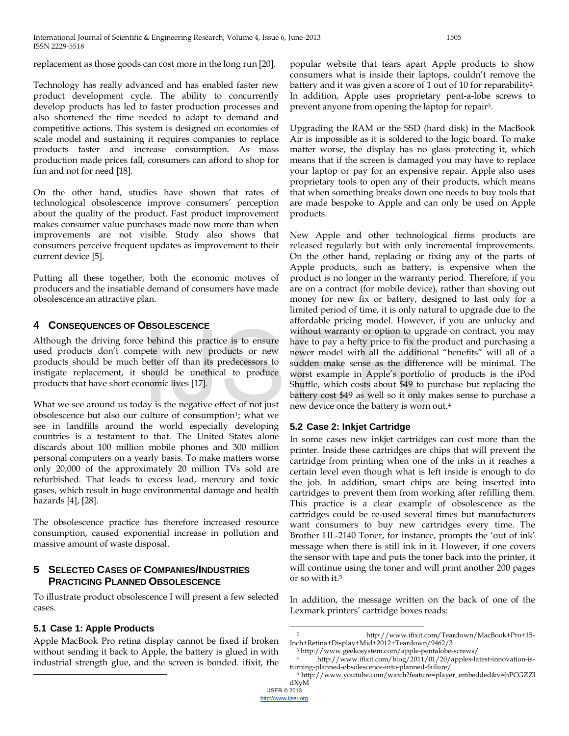replacement as those goods can cost more in the long run [20].

Technology has really advanced and has enabled faster new product development cycle. The ability to concurrently develop products has led to faster production processes and also shortened the time needed to adapt to demand and competitive actions. This system is designed on economies of scale model and sustaining it requires companies to replace products faster and increase consumption. As mass production made prices fall, consumers can afford to shop for fun and not for need [18].

On the other hand, studies have shown that rates of technological obsolescence improve consumers' perception about the quality of the product. Fast product improvement makes consumer value purchases made now more than when improvements are not visible. Study also shows that consumers perceive frequent updates as improvement to their current device [5].

Putting all these together, both the economic motives of producers and the insatiable demand of consumers have made obsolescence an attractive plan.

## **4 CONSEQUENCES OF OBSOLESCENCE**

Although the driving force behind this practice is to ensure used products don't compete with new products or new products should be much better off than its predecessors to instigate replacement, it should be unethical to produce products that have short economic lives [17].

What we see around us today is the negative effect of not just obsolescence but also our culture of consumption<sup>1</sup>; what we see in landfills around the world especially developing countries is a testament to that. The United States alone discards about 100 million mobile phones and 300 million personal computers on a yearly basis. To make matters worse only 20,000 of the approximately 20 million TVs sold are refurbished. That leads to excess lead, mercury and toxic gases, which result in huge environmental damage and health hazards [4], [28].

The obsolescence practice has therefore increased resource consumption, caused exponential increase in pollution and massive amount of waste disposal.

# **5 SELECTED CASES OF COMPANIES/INDUSTRIES PRACTICING PLANNED OBSOLESCENCE**

To illustrate product obsolescence I will present a few selected cases.

# <span id="page-1-4"></span><span id="page-1-0"></span>**5.1 Case 1: Apple Products**

<span id="page-1-3"></span><span id="page-1-2"></span> $\overline{a}$ 

<span id="page-1-1"></span>Apple MacBook Pro retina display cannot be fixed if broken without sending it back to Apple, the battery is glued in with industrial strength glue, and the screen is bonded. ifixit, the popular website that tears apart Apple products to show consumers what is inside their laptops, couldn't remove the battery and it was given a score of 1 out of 10 for reparabilit[y2](#page-1-0). In addition, Apple uses proprietary pent-a-lobe screws to prevent anyone from opening the laptop for repair<sup>3</sup>.

Upgrading the RAM or the SSD (hard disk) in the MacBook Air is impossible as it is soldered to the logic board. To make matter worse, the display has no glass protecting it, which means that if the screen is damaged you may have to replace your laptop or pay for an expensive repair. Apple also uses proprietary tools to open any of their products, which means that when something breaks down one needs to buy tools that are made bespoke to Apple and can only be used on Apple products.

New Apple and other technological firms products are released regularly but with only incremental improvements. On the other hand, replacing or fixing any of the parts of Apple products, such as battery, is expensive when the product is no longer in the warranty period. Therefore, if you are on a contract (for mobile device), rather than shoving out money for new fix or battery, designed to last only for a limited period of time, it is only natural to upgrade due to the affordable pricing model. However, if you are unlucky and without warranty or option to upgrade on contract, you may have to pay a hefty price to fix the product and purchasing a newer model with all the additional "benefits" will all of a sudden make sense as the difference will be minimal. The worst example in Apple's portfolio of products is the iPod Shuffle, which costs about \$49 to purchase but replacing the battery cost \$49 as well so it only makes sense to purchase a new device once the battery is worn out[.4](#page-1-2) without warranty or option to up<br>behind this practice is to ensure<br>better with new products or new<br>better off than its predecessors to<br>sudden make sense as the differ-<br>should be unethical to produce<br>better worst example in

### **5.2 Case 2: Inkjet Cartridge**

In some cases new inkjet cartridges can cost more than the printer. Inside these cartridges are chips that will prevent the cartridge from printing when one of the inks in it reaches a certain level even though what is left inside is enough to do the job. In addition, smart chips are being inserted into cartridges to prevent them from working after refilling them. This practice is a clear example of obsolescence as the cartridges could be re-used several times but manufacturers want consumers to buy new cartridges every time. The Brother HL-2140 Toner, for instance, prompts the 'out of ink' message when there is still ink in it. However, if one covers the sensor with tape and puts the toner back into the printer, it will continue using the toner and will print another 200 pages or so with it[.5](#page-1-3)

In addition, the message written on the back of one of the Lexmark printers' cartridge boxes reads:

 $\overline{a}$ 

<sup>2</sup> http://www.ifixit.com/Teardown/MacBook+Pro+15- Inch+Retina+Display+Mid+2012+Teardown/9462/3

<sup>3</sup> http://www.geekosystem.com/apple-pentalobe-screws/

<sup>4</sup> http://www.ifixit.com/blog/2011/01/20/apples-latest-innovation-isturning-planned-obsolescence-into-planned-failure/

<sup>5</sup> http://www.youtube.com/watch?feature=player\_embedded&v=hPCGZZI dXyM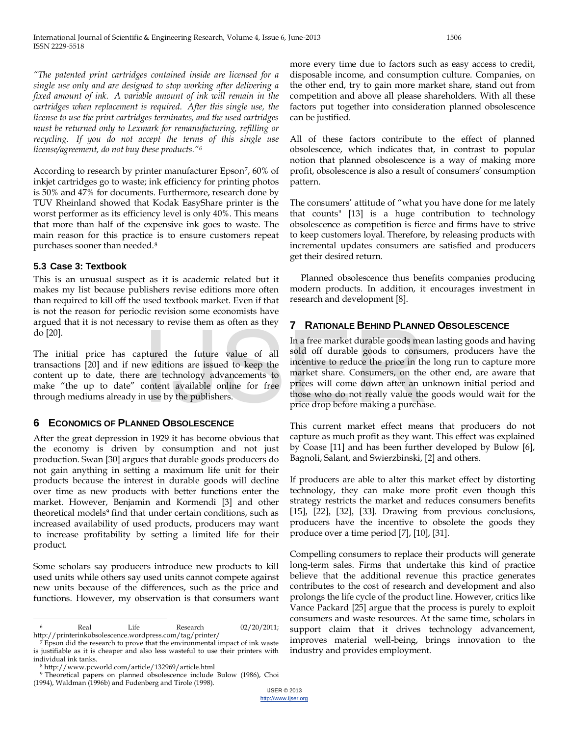*"The patented print cartridges contained inside are licensed for a single use only and are designed to stop working after delivering a fixed amount of ink. A variable amount of ink will remain in the cartridges when replacement is required. After this single use, the license to use the print cartridges terminates, and the used cartridges must be returned only to Lexmark for remanufacturing, refilling or recycling. If you do not accept the terms of this single use license/agreement, do not buy these products.["6](#page-1-4)*

According to research by printer manufacturer Epson<sup>7</sup>, 60% of inkjet cartridges go to waste; ink efficiency for printing photos is 50% and 47% for documents. Furthermore, research done by TUV Rheinland showed that Kodak EasyShare printer is the worst performer as its efficiency level is only 40%. This means that more than half of the expensive ink goes to waste. The main reason for this practice is to ensure customers repeat purchases sooner than needed.[8](#page-2-1)

### **5.3 Case 3: Textbook**

This is an unusual suspect as it is academic related but it makes my list because publishers revise editions more often than required to kill off the used textbook market. Even if that is not the reason for periodic revision some economists have argued that it is not necessary to revise them as often as they do [20].

The initial price has captured the future value of all transactions [20] and if new editions are issued to keep the content up to date, there are technology advancements to make "the up to date" content available online for free through mediums already in use by the publishers.

# **6 ECONOMICS OF PLANNED OBSOLESCENCE**

After the great depression in 1929 it has become obvious that the economy is driven by consumption and not just production. Swan [30] argues that durable goods producers do not gain anything in setting a maximum life unit for their products because the interest in durable goods will decline over time as new products with better functions enter the market. However, Benjamin and Kormendi [3] and other theoretical models<sup>9</sup> find that under certain conditions, such as increased availability of used products, producers may want to increase profitability by setting a limited life for their product.

Some scholars say producers introduce new products to kill used units while others say used units cannot compete against new units because of the differences, such as the price and functions. However, my observation is that consumers want

more every time due to factors such as easy access to credit, disposable income, and consumption culture. Companies, on the other end, try to gain more market share, stand out from competition and above all please shareholders. With all these factors put together into consideration planned obsolescence can be justified.

All of these factors contribute to the effect of planned obsolescence, which indicates that, in contrast to popular notion that planned obsolescence is a way of making more profit, obsolescence is also a result of consumers' consumption pattern.

The consumers' attitude of "what you have done for me lately that counts" [13] is a huge contribution to technology obsolescence as competition is fierce and firms have to strive to keep customers loyal. Therefore, by releasing products with incremental updates consumers are satisfied and producers get their desired return.

Planned obsolescence thus benefits companies producing modern products. In addition, it encourages investment in research and development [8].

# **7 RATIONALE BEHIND PLANNED OBSOLESCENCE**

In a free market durable goods mean lasting goods and having sold off durable goods to consumers, producers have the incentive to reduce the price in the long run to capture more market share. Consumers, on the other end, are aware that prices will come down after an unknown initial period and those who do not really value the goods would wait for the price drop before making a purchase. In a free market durable goods meanured the future value of all sold off durable goods to consume we editions are issued to keep the incentive to reduce the price in the are technology advancements to market share. Consume

This current market effect means that producers do not capture as much profit as they want. This effect was explained by Coase [11] and has been further developed by Bulow [6], Bagnoli, Salant, and Swierzbinski, [2] and others.

If producers are able to alter this market effect by distorting technology, they can make more profit even though this strategy restricts the market and reduces consumers benefits [15], [22], [32], [33]. Drawing from previous conclusions, producers have the incentive to obsolete the goods they produce over a time period [7], [10], [31].

Compelling consumers to replace their products will generate long-term sales. Firms that undertake this kind of practice believe that the additional revenue this practice generates contributes to the cost of research and development and also prolongs the life cycle of the product line. However, critics like Vance Packard [25] argue that the process is purely to exploit consumers and waste resources. At the same time, scholars in support claim that it drives technology advancement, improves material well-being, brings innovation to the industry and provides employment.

 $\overline{a}$ Real Life Research 02/20/2011; http://printerinkobsolescence.wordpress.com/tag/printer/

<span id="page-2-0"></span> $7$  Epson did the research to prove that the environmental impact of ink waste is justifiable as it is cheaper and also less wasteful to use their printers with individual ink tanks.

<sup>8</sup> http://www.pcworld.com/article/132969/article.html

<span id="page-2-3"></span><span id="page-2-2"></span><span id="page-2-1"></span><sup>9</sup> Theoretical papers on planned obsolescence include Bulow (1986), Choi (1994), Waldman (1996b) and Fudenberg and Tirole (1998).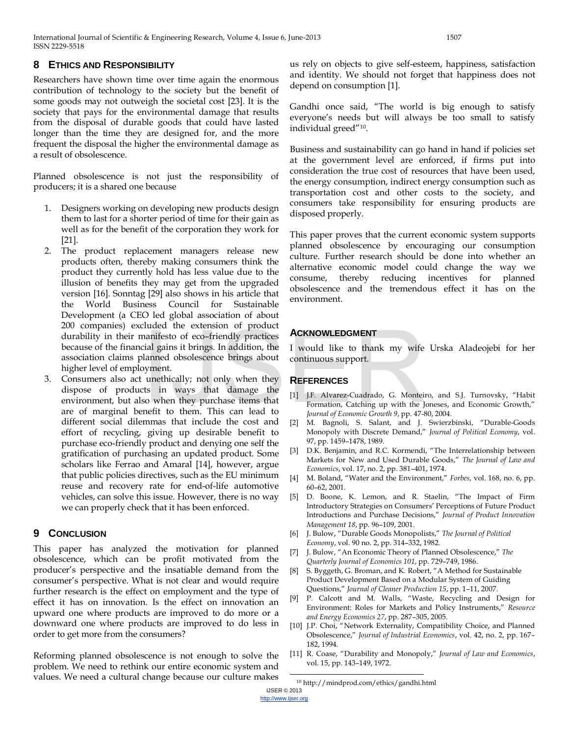International Journal of Scientific & Engineering Research, Volume 4, Issue 6, June-2013 1507 ISSN 2229-5518

#### **8 ETHICS AND RESPONSIBILITY**

Researchers have shown time over time again the enormous contribution of technology to the society but the benefit of some goods may not outweigh the societal cost [23]. It is the society that pays for the environmental damage that results from the disposal of durable goods that could have lasted longer than the time they are designed for, and the more frequent the disposal the higher the environmental damage as a result of obsolescence.

Planned obsolescence is not just the responsibility of producers; it is a shared one because

- 1. Designers working on developing new products design them to last for a shorter period of time for their gain as well as for the benefit of the corporation they work for [21].
- 2. The product replacement managers release new products often, thereby making consumers think the product they currently hold has less value due to the illusion of benefits they may get from the upgraded version [16]. Sonntag [29] also shows in his article that the World Business Council for Sustainable Development (a CEO led global association of about 200 companies) excluded the extension of product durability in their manifesto of eco–friendly practices because of the financial gains it brings. In addition, the association claims planned obsolescence brings about higher level of employment.
- 3. Consumers also act unethically; not only when they dispose of products in ways that damage the environment, but also when they purchase items that are of marginal benefit to them. This can lead to different social dilemmas that include the cost and effort of recycling, giving up desirable benefit to purchase eco-friendly product and denying one self the gratification of purchasing an updated product. Some scholars like Ferrao and Amaral [14], however, argue that public policies directives, such as the EU minimum reuse and recovery rate for end-of-life automotive vehicles, can solve this issue. However, there is no way we can properly check that it has been enforced. ACKNOWLEDGMENT<br>
ial gains it brings. In addition, the I would like to thank my wife<br>
lanned obsolescence brings about continuous support.<br>
byment.<br>
unethically; not only when they<br>
so when they purchase items that<br>
il J.F.

#### **9 CONCLUSION**

This paper has analyzed the motivation for planned obsolescence, which can be profit motivated from the producer's perspective and the insatiable demand from the consumer's perspective. What is not clear and would require further research is the effect on employment and the type of effect it has on innovation. Is the effect on innovation an upward one where products are improved to do more or a downward one where products are improved to do less in order to get more from the consumers?

Reforming planned obsolescence is not enough to solve the problem. We need to rethink our entire economic system and values. We need a cultural change because our culture makes

us rely on objects to give self-esteem, happiness, satisfaction and identity. We should not forget that happiness does not depend on consumption [1].

Gandhi once said, "The world is big enough to satisfy everyone's needs but will always be too small to satisfy individual greed"[10.](#page-2-3)

Business and sustainability can go hand in hand if policies set at the government level are enforced, if firms put into consideration the true cost of resources that have been used, the energy consumption, indirect energy consumption such as transportation cost and other costs to the society, and consumers take responsibility for ensuring products are disposed properly.

This paper proves that the current economic system supports planned obsolescence by encouraging our consumption culture. Further research should be done into whether an alternative economic model could change the way we consume, thereby reducing incentives for planned obsolescence and the tremendous effect it has on the environment.

### **ACKNOWLEDGMENT**

I would like to thank my wife Urska Aladeojebi for her continuous support.

#### **REFERENCES**

- [1] J.F. Alvarez-Cuadrado, G. Monteiro, and S.J. Turnovsky, "Habit Formation, Catching up with the Joneses, and Economic Growth," *Journal of Economic Growth 9*, pp. 47-80, 2004.
- [2] M. Bagnoli, S. Salant, and J. Swierzbinski, "Durable-Goods Monopoly with Discrete Demand," *Journal of Political Economy*, vol. 97, pp. 1459–1478, 1989.
- [3] D.K. Benjamin, and R.C. Kormendi, "The Interrelationship between Markets for New and Used Durable Goods," *The Journal of Law and Economics*, vol. 17, no. 2, pp. 381–401, 1974.
- [4] M. Boland, "Water and the Environment," *Forbes*, vol. 168, no. 6, pp. 60–62, 2001.
- [5] D. Boone, K. Lemon, and R. Staelin, "The Impact of Firm Introductory Strategies on Consumers' Perceptions of Future Product Introductions and Purchase Decisions," *Journal of Product Innovation Management 18*, pp. 96–109, 2001.
- [6] J. Bulow, "Durable Goods Monopolists," *The Journal of Political Economy*, vol. 90 no. 2, pp. 314–332, 1982.
- [7] J. Bulow, "An Economic Theory of Planned Obsolescence," *The Quarterly Journal of Economics 101*, pp. 729–749, 1986.
- [8] S. Byggeth, G. Broman, and K. Robert, "A Method for Sustainable Product Development Based on a Modular System of Guiding Questions," *Journal of Cleaner Production 15*, pp. 1–11, 2007.
- [9] P. Calcott and M. Walls, "Waste, Recycling and Design for Environment: Roles for Markets and Policy Instruments," *Resource and Energy Economics 27*, pp. 287–305, 2005.
- [10] J.P. Choi, "Network Externality, Compatibility Choice, and Planned Obsolescence," *Journal of Industrial Economics*, vol. 42, no. 2, pp. 167– 182, 1994.
- [11] R. Coase, "Durability and Monopoly," *Journal of Law and Economics*, vol. 15, pp. 143–149, 1972.

<sup>10</sup> http://mindprod.com/ethics/gandhi.html

IJSER © 2013

 $\overline{a}$